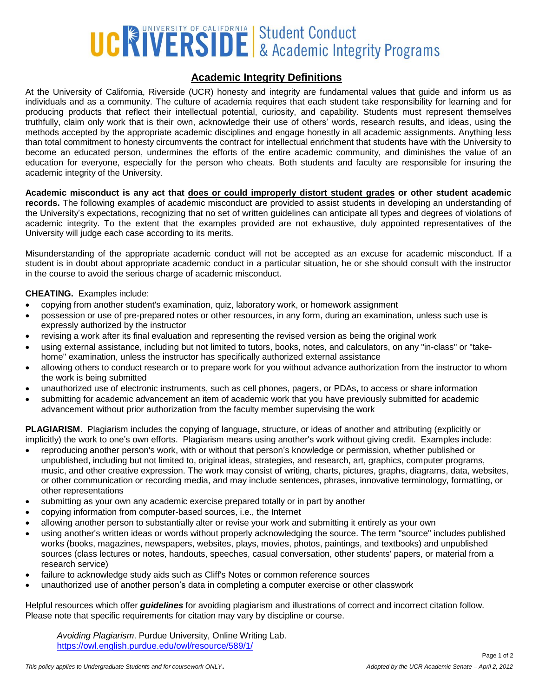# UCRSIDE & Academic Integrity Programs

# **Academic Integrity Definitions**

At the University of California, Riverside (UCR) honesty and integrity are fundamental values that guide and inform us as individuals and as a community. The culture of academia requires that each student take responsibility for learning and for producing products that reflect their intellectual potential, curiosity, and capability. Students must represent themselves truthfully, claim only work that is their own, acknowledge their use of others' words, research results, and ideas, using the methods accepted by the appropriate academic disciplines and engage honestly in all academic assignments. Anything less than total commitment to honesty circumvents the contract for intellectual enrichment that students have with the University to become an educated person, undermines the efforts of the entire academic community, and diminishes the value of an education for everyone, especially for the person who cheats. Both students and faculty are responsible for insuring the academic integrity of the University.

**Academic misconduct is any act that does or could improperly distort student grades or other student academic records.** The following examples of academic misconduct are provided to assist students in developing an understanding of the University's expectations, recognizing that no set of written guidelines can anticipate all types and degrees of violations of academic integrity. To the extent that the examples provided are not exhaustive, duly appointed representatives of the University will judge each case according to its merits.

Misunderstanding of the appropriate academic conduct will not be accepted as an excuse for academic misconduct. If a student is in doubt about appropriate academic conduct in a particular situation, he or she should consult with the instructor in the course to avoid the serious charge of academic misconduct.

#### **CHEATING.** Examples include:

- copying from another student's examination, quiz, laboratory work, or homework assignment
- possession or use of pre-prepared notes or other resources, in any form, during an examination, unless such use is expressly authorized by the instructor
- revising a work after its final evaluation and representing the revised version as being the original work
- using external assistance, including but not limited to tutors, books, notes, and calculators, on any "in-class" or "takehome" examination, unless the instructor has specifically authorized external assistance
- allowing others to conduct research or to prepare work for you without advance authorization from the instructor to whom the work is being submitted
- unauthorized use of electronic instruments, such as cell phones, pagers, or PDAs, to access or share information
- submitting for academic advancement an item of academic work that you have previously submitted for academic advancement without prior authorization from the faculty member supervising the work

**PLAGIARISM.** Plagiarism includes the copying of language, structure, or ideas of another and attributing (explicitly or implicitly) the work to one's own efforts. Plagiarism means using another's work without giving credit. Examples include:

- reproducing another person's work, with or without that person's knowledge or permission, whether published or unpublished, including but not limited to, original ideas, strategies, and research, art, graphics, computer programs, music, and other creative expression. The work may consist of writing, charts, pictures, graphs, diagrams, data, websites, or other communication or recording media, and may include sentences, phrases, innovative terminology, formatting, or other representations
- submitting as your own any academic exercise prepared totally or in part by another
- copying information from computer-based sources, i.e., the Internet
- allowing another person to substantially alter or revise your work and submitting it entirely as your own
- using another's written ideas or words without properly acknowledging the source. The term "source" includes published works (books, magazines, newspapers, websites, plays, movies, photos, paintings, and textbooks) and unpublished sources (class lectures or notes, handouts, speeches, casual conversation, other students' papers, or material from a research service)
- failure to acknowledge study aids such as Cliff's Notes or common reference sources
- unauthorized use of another person's data in completing a computer exercise or other classwork

Helpful resources which offer *guidelines* for avoiding plagiarism and illustrations of correct and incorrect citation follow. Please note that specific requirements for citation may vary by discipline or course.

*Avoiding Plagiarism*. Purdue University, Online Writing Lab. <https://owl.english.purdue.edu/owl/resource/589/1/>